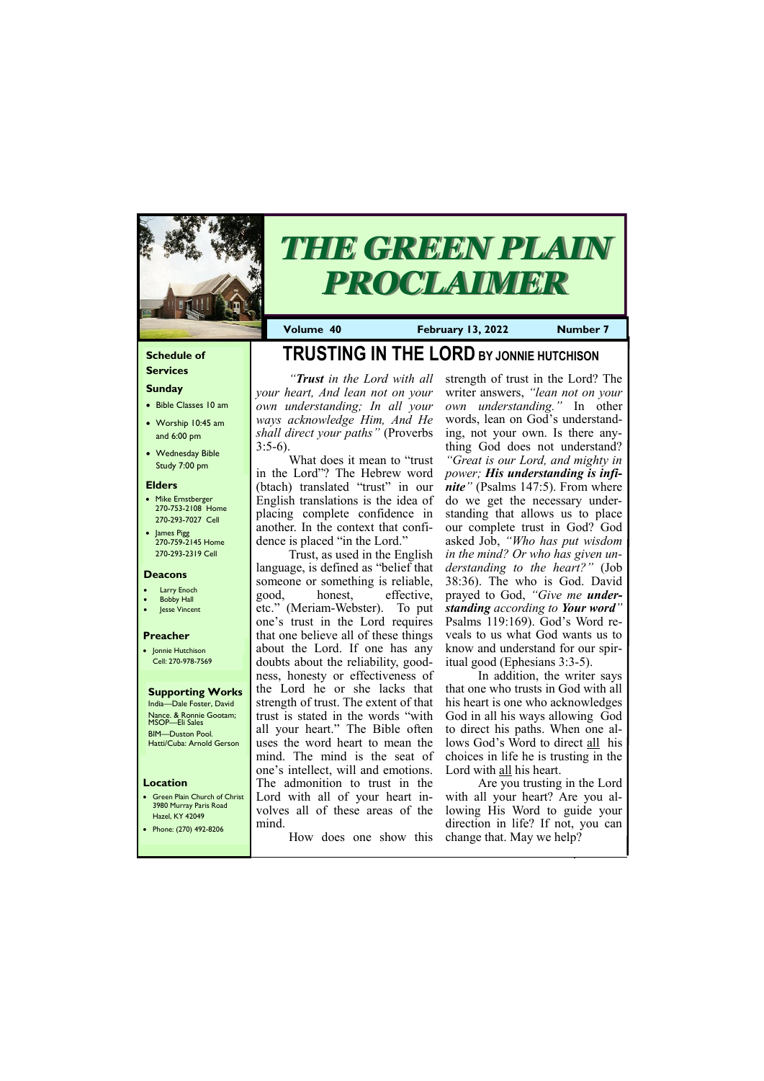#### **Schedule of Services**

## **Sunday**

- Bible Classes 10 am
- Worship 10:45 am and 6:00 pm
- Wednesday Bible Study 7:00 pm

• Green Plain Church of Christ 3980 Murray Paris Road  $H_{220}$  KY 420

#### **Elders**

- Mike Ernstberger 270-753-2108 Home 270-293-7027 Cell
- James Pigg 270-759-2145 Home 270-293-2319 Cell

#### **Location**

*"Trust in the Lord with all your heart, And lean not on your own understanding; In all your ways acknowledge Him, And He shall direct your paths"* (Proverbs  $3:5-6$ ).



# *THE GREEN PLAIN PROCLAIMER*

**Volume 40 February 13, 2022 Number 7**

#### **Deacons**

- **Larry Enoch**
- **Bobby Hall**
- Jesse Vincent

#### **Preacher**

• Jonnie Hutchison Cell: 270-978-7569

**Supporting Works** India—Dale Foster, David Nance. & Ronnie Gootam; MSOP—Eli Sales BIM—Duston Pool. Hatti/Cuba: Arnold Gerson

# **TRUSTING IN THE LORD BY JONNIE HUTCHISON**

What does it mean to "trust in the Lord"? The Hebrew word (btach) translated "trust" in our English translations is the idea of placing complete confidence in another. In the context that confidence is placed "in the Lord."

Trust, as used in the English language, is defined as "belief that someone or something is reliable, good, honest, effective, etc." (Meriam-Webster). To put one's trust in the Lord requires that one believe all of these things about the Lord. If one has any doubts about the reliability, goodness, honesty or effectiveness of the Lord he or she lacks that strength of trust. The extent of that trust is stated in the words "with all your heart." The Bible often uses the word heart to mean the mind. The mind is the seat of one's intellect, will and emotions. The admonition to trust in the Lord with all of your heart involves all of these areas of the

| HZCI, INI TZUTI<br>Phone: (270) 492-8206 | mind.<br>How does one show this change that. May we help? | direction in life? If not, you can |
|------------------------------------------|-----------------------------------------------------------|------------------------------------|
|                                          |                                                           |                                    |

strength of trust in the Lord? The writer answers, *"lean not on your own understanding."* In other words, lean on God's understanding, not your own. Is there anything God does not understand? *"Great is our Lord, and mighty in power; His understanding is infinite"* (Psalms 147:5). From where do we get the necessary understanding that allows us to place our complete trust in God? God asked Job, *"Who has put wisdom in the mind? Or who has given understanding to the heart?"* (Job 38:36). The who is God. David prayed to God, *"Give me understanding according to Your word"*  Psalms 119:169). God's Word reveals to us what God wants us to know and understand for our spiritual good (Ephesians 3:3-5).

In addition, the writer says that one who trusts in God with all his heart is one who acknowledges God in all his ways allowing God to direct his paths. When one allows God's Word to direct all his choices in life he is trusting in the Lord with all his heart.

Are you trusting in the Lord with all your heart? Are you allowing His Word to guide your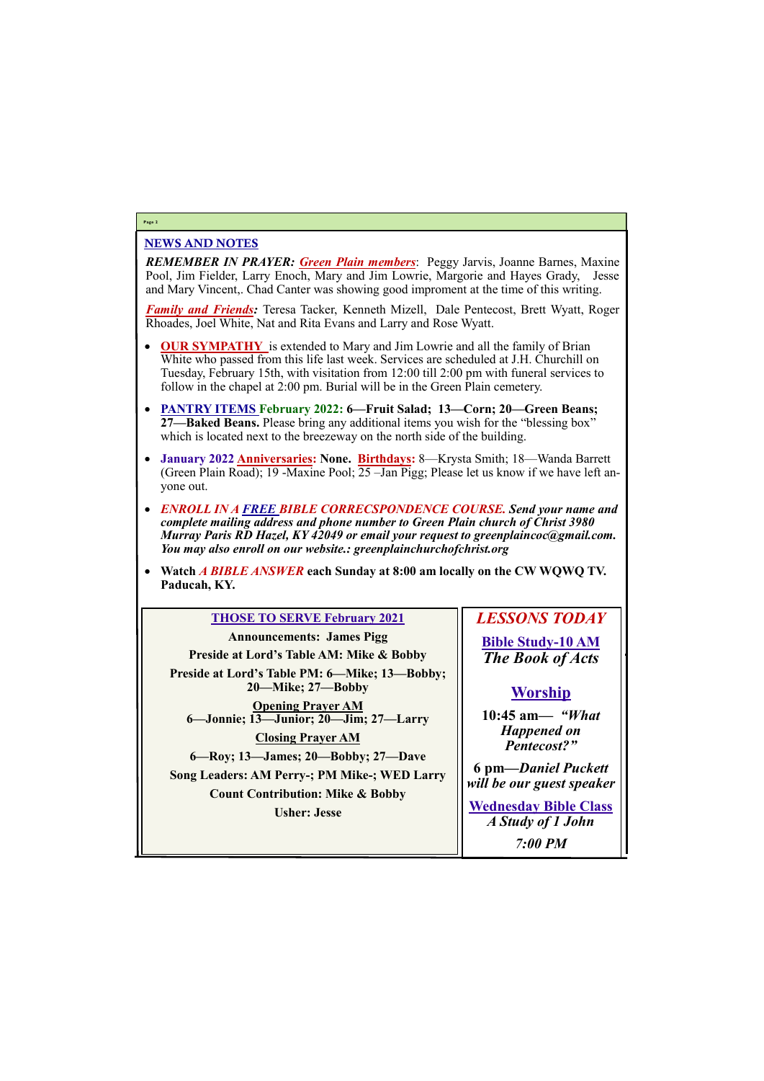## NEWS AND NOTES

*REMEMBER IN PRAYER: Green Plain members*: Peggy Jarvis, Joanne Barnes, Maxine Pool, Jim Fielder, Larry Enoch, Mary and Jim Lowrie, Margorie and Hayes Grady, Jesse and Mary Vincent,. Chad Canter was showing good improment at the time of this writing.

*Family and Friends:* Teresa Tacker, Kenneth Mizell, Dale Pentecost, Brett Wyatt, Roger Rhoades, Joel White, Nat and Rita Evans and Larry and Rose Wyatt.

- **OUR SYMPATHY** is extended to Mary and Jim Lowrie and all the family of Brian White who passed from this life last week. Services are scheduled at J.H. Churchill on Tuesday, February 15th, with visitation from 12:00 till 2:00 pm with funeral services to follow in the chapel at 2:00 pm. Burial will be in the Green Plain cemetery.
- **PANTRY ITEMS February 2022: 6—Fruit Salad; 13—Corn; 20—Green Beans; 27—Baked Beans.** Please bring any additional items you wish for the "blessing box" which is located next to the breezeway on the north side of the building.
- **January 2022 Anniversaries: None. Birthdays:** 8—Krysta Smith; 18—Wanda Barrett (Green Plain Road); 19 -Maxine Pool; 25 –Jan Pigg; Please let us know if we have left anyone out.
- *ENROLL IN A FREE BIBLE CORRECSPONDENCE COURSE. Send your name and complete mailing address and phone number to Green Plain church of Christ 3980 Murray Paris RD Hazel, KY 42049 or email your request to greenplaincoc@gmail.com. You may also enroll on our website.: greenplainchurchofchrist.org*
- **Watch** *A BIBLE ANSWER* **each Sunday at 8:00 am locally on the CW WQWQ TV. Paducah, KY.**

#### **Page 2**

#### **THOSE TO SERVE February 2021**

**Announcements: James Pigg Preside at Lord's Table AM: Mike & Bobby Preside at Lord's Table PM: 6—Mike; 13—Bobby; 20—Mike; 27—Bobby Opening Prayer AM 6—Jonnie; 13—Junior; 20—Jim; 27—Larry Closing Prayer AM 6—Roy; 13—James; 20—Bobby; 27—Dave Song Leaders: AM Perry-; PM Mike-; WED Larry Count Contribution: Mike & Bobby Usher: Jesse**

*LESSONS TODAY* **Bible Study-10 AM** *The Book of Acts*

# **Worship**

**10:45 am***— "What Happened on Pentecost?"*

**6 pm—***Daniel Puckett will be our guest speaker*

**Wednesday Bible Class**

| Concl , o Cosc | A Study of 1 John |
|----------------|-------------------|
|                | <b>7:00 PM</b>    |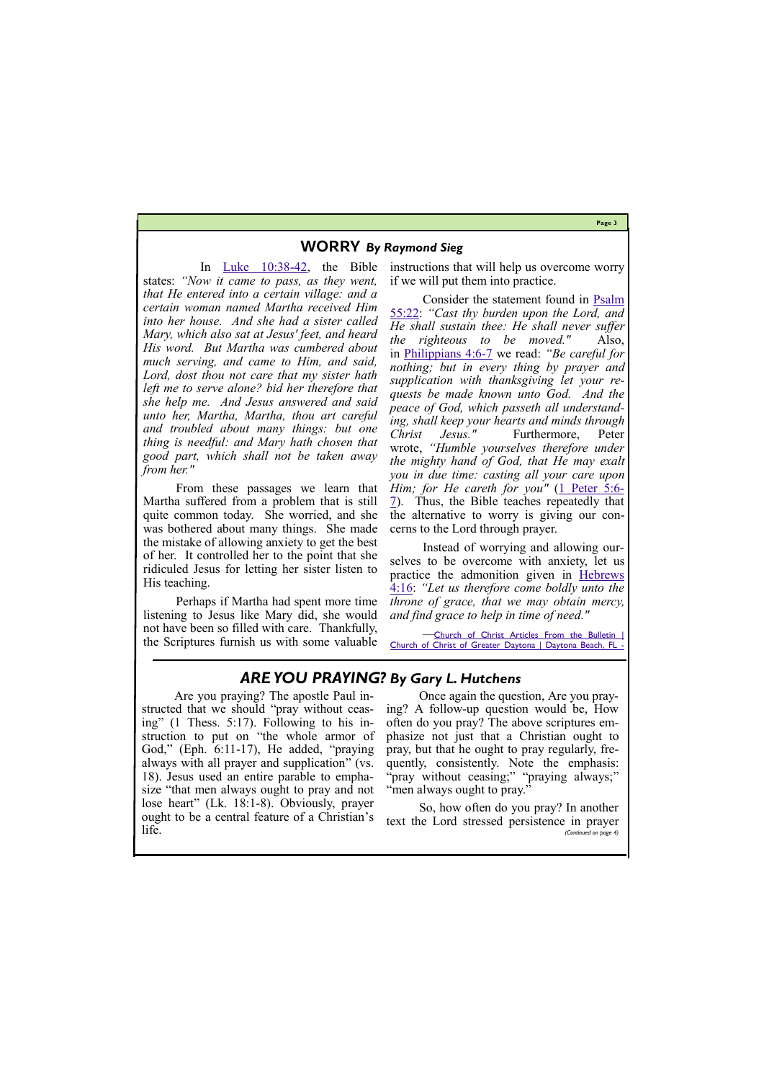## **Page 3**

## **WORRY** *By Raymond Sieg*

In [Luke 10:38](https://biblia.com/bible/nkjv/Luke%2010.38-42)-42, the Bible states: *"Now it came to pass, as they went, that He entered into a certain village: and a certain woman named Martha received Him into her house. And she had a sister called Mary, which also sat at Jesus' feet, and heard His word. But Martha was cumbered about much serving, and came to Him, and said, Lord, dost thou not care that my sister hath left me to serve alone? bid her therefore that she help me. And Jesus answered and said unto her, Martha, Martha, thou art careful and troubled about many things: but one thing is needful: and Mary hath chosen that good part, which shall not be taken away from her."*

From these passages we learn that Martha suffered from a problem that is still quite common today. She worried, and she was bothered about many things. She made the mistake of allowing anxiety to get the best of her. It controlled her to the point that she ridiculed Jesus for letting her sister listen to His teaching.

Perhaps if Martha had spent more time listening to Jesus like Mary did, she would not have been so filled with care. Thankfully, the Scriptures furnish us with some valuable

*—*[Church of Christ Articles From the Bulletin |](http://www.churchofchristofgreaterdaytona.com/from-the-bulletin.html)  Church of Christ of Greater Daytona | Daytona Beach, FL

instructions that will help us overcome worry if we will put them into practice.

Consider the statement found in [Psalm](https://biblia.com/bible/nkjv/Ps%2055.22)  [55:22:](https://biblia.com/bible/nkjv/Ps%2055.22) *"Cast thy burden upon the Lord, and He shall sustain thee: He shall never suffer the righteous to be moved."* Also, in [Philippians 4:6](https://biblia.com/bible/nkjv/Phil%204.6-7)-7 we read: *"Be careful for nothing; but in every thing by prayer and supplication with thanksgiving let your requests be made known unto God. And the peace of God, which passeth all understanding, shall keep your hearts and minds through Christ Jesus."* Furthermore, Peter wrote, *"Humble yourselves therefore under the mighty hand of God, that He may exalt you in due time: casting all your care upon Him; for He careth for you"* ([1 Peter 5:6](https://biblia.com/bible/nkjv/1%20Pet%205.6-7)-[7\).](https://biblia.com/bible/nkjv/1%20Pet%205.6-7) Thus, the Bible teaches repeatedly that the alternative to worry is giving our concerns to the Lord through prayer.

Instead of worrying and allowing ourselves to be overcome with anxiety, let us practice the admonition given in [Hebrews](https://biblia.com/bible/nkjv/Heb%204.16)  [4:16:](https://biblia.com/bible/nkjv/Heb%204.16) *"Let us therefore come boldly unto the throne of grace, that we may obtain mercy, and find grace to help in time of need."*

# *ARE YOU PRAYING? By Gary L. Hutchens*

Are you praying? The apostle Paul instructed that we should "pray without ceasing" (1 Thess. 5:17). Following to his instruction to put on "the whole armor of God," (Eph. 6:11-17), He added, "praying always with all prayer and supplication" (vs. 18). Jesus used an entire parable to emphasize "that men always ought to pray and not lose heart" (Lk. 18:1-8). Obviously, prayer

Once again the question, Are you praying? A follow-up question would be, How often do you pray? The above scriptures emphasize not just that a Christian ought to pray, but that he ought to pray regularly, frequently, consistently. Note the emphasis: "pray without ceasing;" "praying always;" "men always ought to pray."

ought to be a central feature of a Christian's life. So, how often do you pray? In another text the Lord stressed persistence in prayer *(Continued on page 4)*